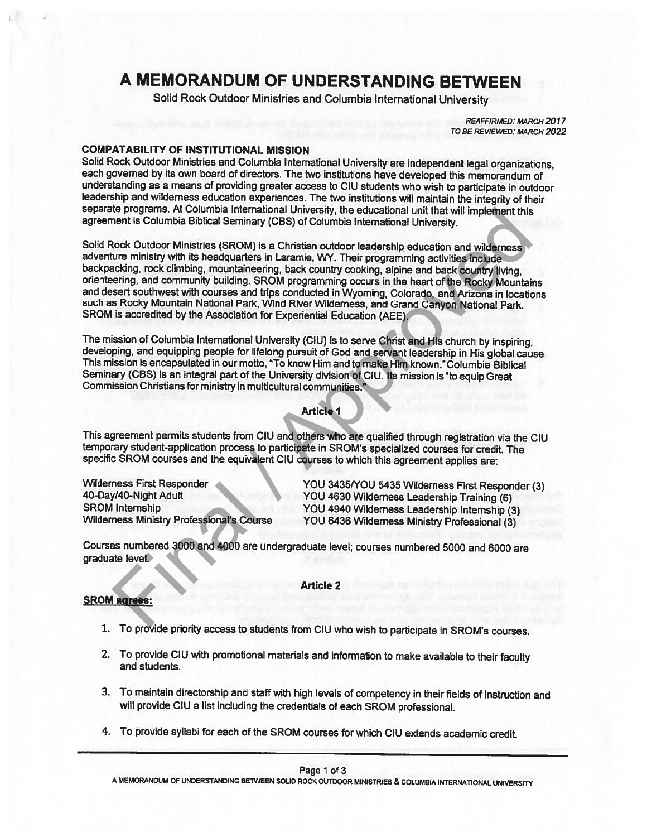# A MEMORANDUM OF UNDERSTANDING BETWEEN

Solid Rock Outdoor Ministries and Columbia International University

REAFFIRMED: MARCH 2017 TO BE REVIEWED: MARCH 2022

COMPATABILITY OF INSTITUTIONAL MISSION<br>Solid Rock Outdoor Ministries and Columbia International University are independent legal organizations. each governed by its own board of directors. The two institutions have developed this memorandum of<br>understanding as a means of providing greater access to CIU students who wish to participate in outdoor<br>leadership and wil separate programs. At Columbia International University, the educational unit that will implement this agreement is Columbia Biblical Seminary (CBS) of Columbia International University.

Solid Rock Outdoor Ministries (SROM) is a Christian outdoor leadership education and wilderness<br>adventure ministry with its headquarters in Laramie, WY. Their programming activities include<br>backpacking, rock climbing, moun such as Rocky Mountain National Park, Wind River Wilderness, and Grand Canyon National Park. SROM is accredited by the Association for Experiential Education (AEE). me programs. At Columbial International University, the educational unit that will implement this<br>
heart is Columbia Biblical Seminary (CBS) of Columbia International University.<br>
Nock Outdoor Ministries (SROM) is a Christ

The mission of Columbia International University (CIU) is to serve Christ and His church by inspiring, developing, and equipping people for lifelong pursuit of God and servant leadership in His global cause.<br>This mission i Seminary (CBS) is an integral part of the University division of CIU. Its mission is"to equip Great Commission Christians for ministry in multicultural communities."

# Article I

This agreement permits students from CIU and others who are qualified through registration via the CIU temporary student-application process to participate in SROM's specialized courses for credit. The specific SROM courses and the equivalent CIU courses to which this agreement applies are:

Wilderness First Responder YOU 3435/YOU 5435 Wilderness First Responder (3)<br>40-Day/40-Night Adult YOU 4630 Wilderness Leadership Training (6)<br>8ROM Internship SROM Internship YOU <sup>4940</sup> Wilderness Leadership Internship (3) Wilderness Ministry Professional's Course YOU <sup>6436</sup> Wilderness Ministry Professional (3)

Courses numbered <sup>3000</sup> and <sup>4000</sup> are undergraduate level; courses numbered <sup>5000</sup> and <sup>6000</sup> are graduate level.

### Article 2

# SROM agrees:

- 1. To provide priority access to students from CIU who wish to participate in SROM's courses.
- 2. To provide CIU with promotional materials and information to make available to their faculty and students.
- 3. To maintain directorship and staff with high levels of competency in their fields of instruction and will provide CIU <sup>a</sup> list including the credentials of each SROM professional.
- 4. To provide syllabi for each of the SROM courses for which CIU extends academic credit.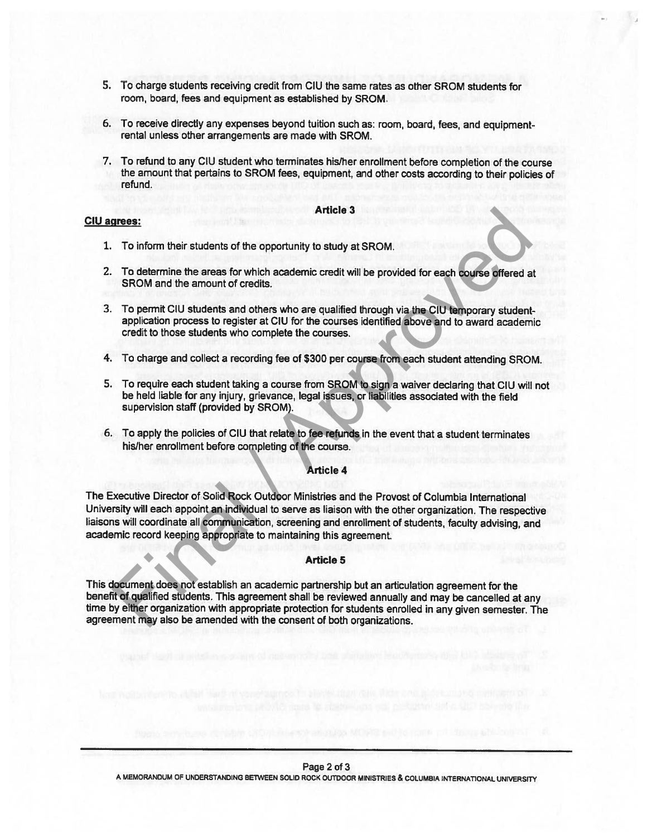- 5. To charge students receiving credit from CIU the same rates as other SROM students for room, board, fees and equipment as established by SROM.
- 6. To receive directly any expenses beyond tuition such as: room, board, fees, and equipmentrental unless other arrangements are made with SROM.
- 7. To refund to any CIU student who terminates his/her enrollment before completion of the course the amount that pertains to SROM fees, equipment, and other costs according to their policies of refund.

#### Article 3

# CIU agrees:

- 1. To inform their students of the opportunity to study at SROM,
- 2. To determine the areas for which academic credit will be provided for each course offered at SROM and the amount of credits.
- 3. To permit CIU students and others who are qualified through via the CIU temporary studentapplication process to register at CIU for the courses identified above and to award academic credit to those students who complete the courses.
- 4. To charge and collect <sup>a</sup> recording fee of \$300 per course from each student attending SROM.
- 5. To require each student taking <sup>a</sup> course from SROM to sign <sup>a</sup> waiver declaring that CIU will not be held liable for any injury, grievance, legal issues, or liabilities associated with the field supervision staff (provided by SROM),
- 6. To apply the policies of CIU that relate to fee refunds in the event that <sup>a</sup> student terminates hislher enrollment before completing of the course.

# Article 4

The Executive Director of Solid Rock Outdoor Ministries and the Provost of Columbia International University will each appoint an individual to serve as liaison with the other organization. The respective liaisons will coordinate all communication, screening and enrollment of students, faculty advising, and academic record keeping appropriate to maintaining this agreement. The inform their students of the opportunity to study at SROM.<br>To inform their students of the opportunity to study at SROM.<br>To determine the areas for which academic credit will be provided for each course differed a<br>SROM

## Article 5

This document does not establish an academic partnership but an articulation agreemen<sup>t</sup> for the benefit of qualified students. This agreemen<sup>t</sup> shall be reviewed annually and may be cancelled at any time by either organization with appropriate protection for students enrolled in any <sup>g</sup>iven semester. The agreemen<sup>t</sup> may also be amended with the consent of both organizations.